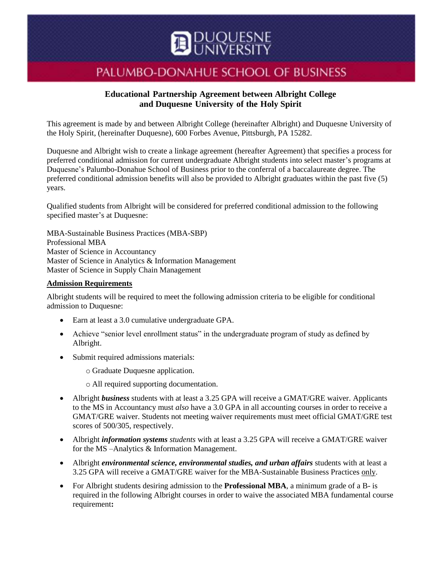

# PALUMBO-DONAHUE SCHOOL OF BUSINESS

## **Educational Partnership Agreement between Albright College and Duquesne University of the Holy Spirit**

This agreement is made by and between Albright College (hereinafter Albright) and Duquesne University of the Holy Spirit, (hereinafter Duquesne), 600 Forbes Avenue, Pittsburgh, PA 15282.

Duquesne and Albright wish to create a linkage agreement (hereafter Agreement) that specifies a process for preferred conditional admission for current undergraduate Albright students into select master's programs at Duquesne's Palumbo-Donahue School of Business prior to the conferral of a baccalaureate degree. The preferred conditional admission benefits will also be provided to Albright graduates within the past five (5) years.

Qualified students from Albright will be considered for preferred conditional admission to the following specified master's at Duquesne:

MBA-Sustainable Business Practices (MBA-SBP) Professional MBA Master of Science in Accountancy Master of Science in Analytics & Information Management Master of Science in Supply Chain Management

### **Admission Requirements**

Albright students will be required to meet the following admission criteria to be eligible for conditional admission to Duquesne:

- Earn at least a 3.0 cumulative undergraduate GPA.
- Achieve "senior level enrollment status" in the undergraduate program of study as defined by Albright.
- Submit required admissions materials:

o Graduate Duquesne application.

o All required supporting documentation.

- Albright *business* students with at least a 3.25 GPA will receive a GMAT/GRE waiver. Applicants to the MS in Accountancy must *also* have a 3.0 GPA in all accounting courses in order to receive a GMAT/GRE waiver. Students not meeting waiver requirements must meet official GMAT/GRE test scores of 500/305, respectively.
- Albright *information systems students* with at least a 3.25 GPA will receive a GMAT/GRE waiver for the MS –Analytics & Information Management.
- Albright *environmental science, environmental studies, and urban affairs students with at least a* 3.25 GPA will receive a GMAT/GRE waiver for the MBA-Sustainable Business Practices only.
- For Albright students desiring admission to the **Professional MBA**, a minimum grade of a B- is required in the following Albright courses in order to waive the associated MBA fundamental course requirement**:**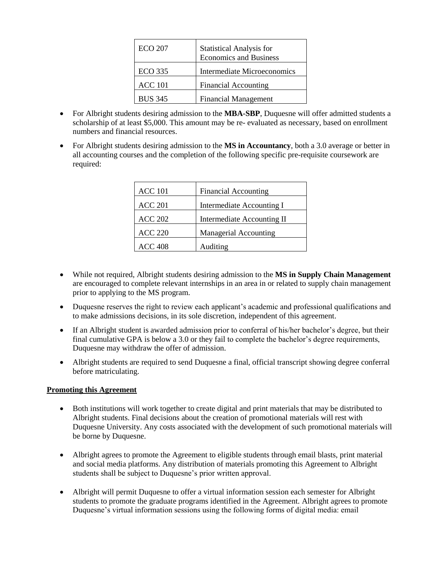| <b>ECO 207</b> | <b>Statistical Analysis for</b><br><b>Economics and Business</b> |
|----------------|------------------------------------------------------------------|
| <b>ECO</b> 335 | <b>Intermediate Microeconomics</b>                               |
| <b>ACC 101</b> | <b>Financial Accounting</b>                                      |
| <b>BUS 345</b> | <b>Financial Management</b>                                      |

- For Albright students desiring admission to the **MBA-SBP**, Duquesne will offer admitted students a scholarship of at least \$5,000. This amount may be re- evaluated as necessary, based on enrollment numbers and financial resources.
- For Albright students desiring admission to the **MS in Accountancy**, both a 3.0 average or better in all accounting courses and the completion of the following specific pre-requisite coursework are required:

| <b>ACC 101</b> | <b>Financial Accounting</b>  |
|----------------|------------------------------|
| <b>ACC 201</b> | Intermediate Accounting I    |
| <b>ACC 202</b> | Intermediate Accounting II   |
| <b>ACC 220</b> | <b>Managerial Accounting</b> |
| ACC 408        | Auditing                     |

- While not required, Albright students desiring admission to the **MS in Supply Chain Management** are encouraged to complete relevant internships in an area in or related to supply chain management prior to applying to the MS program.
- Duquesne reserves the right to review each applicant's academic and professional qualifications and to make admissions decisions, in its sole discretion, independent of this agreement.
- If an Albright student is awarded admission prior to conferral of his/her bachelor's degree, but their final cumulative GPA is below a 3.0 or they fail to complete the bachelor's degree requirements, Duquesne may withdraw the offer of admission.
- Albright students are required to send Duquesne a final, official transcript showing degree conferral before matriculating.

### **Promoting this Agreement**

- Both institutions will work together to create digital and print materials that may be distributed to Albright students. Final decisions about the creation of promotional materials will rest with Duquesne University. Any costs associated with the development of such promotional materials will be borne by Duquesne.
- Albright agrees to promote the Agreement to eligible students through email blasts, print material and social media platforms. Any distribution of materials promoting this Agreement to Albright students shall be subject to Duquesne's prior written approval.
- Albright will permit Duquesne to offer a virtual information session each semester for Albright students to promote the graduate programs identified in the Agreement. Albright agrees to promote Duquesne's virtual information sessions using the following forms of digital media: email